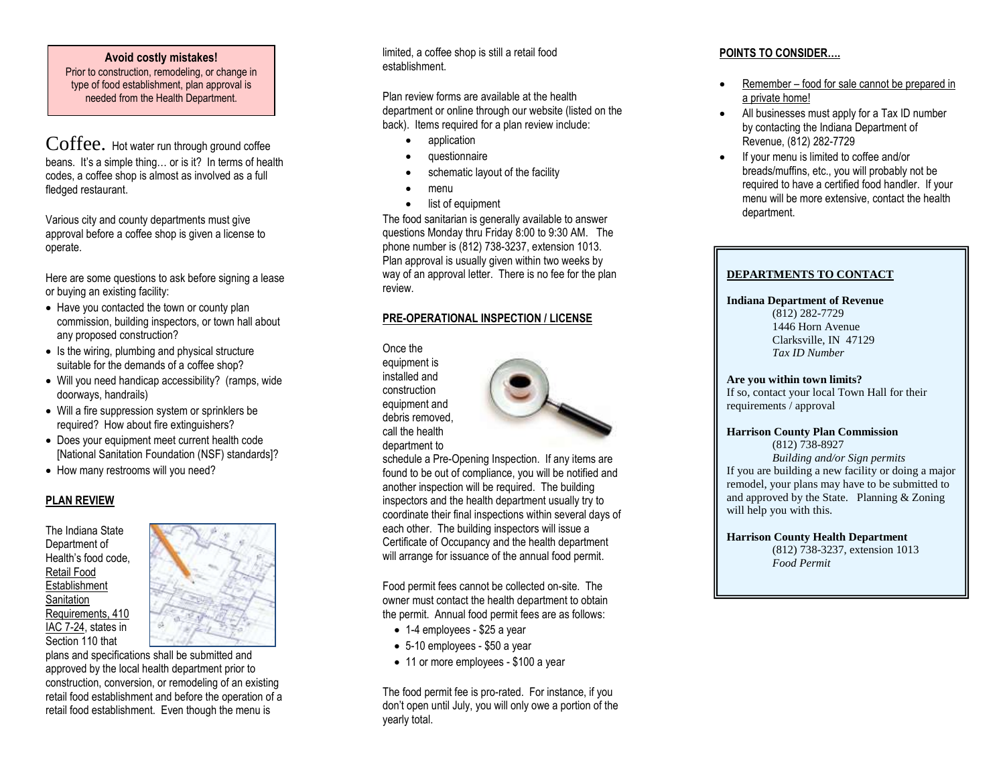### **Avoid costly mistakes!**

Prior to construction, remodeling, or change in type of food establishment, plan approval is needed from the Health Department.

Coffee. Hot water run through ground coffee beans. It's a simple thing... or is it? In terms of health codes, a coffee shop is almost as involved as a full fledged restaurant.

Various city and county departments must give approval before a coffee shop is given a license to operate.

Here are some questions to ask before signing a lease or buying an existing facility:

- Have you contacted the town or county plan commission, building inspectors, or town hall about any proposed construction?
- Is the wiring, plumbing and physical structure suitable for the demands of a coffee shop?
- Will you need handicap accessibility? (ramps, wide doorways, handrails)
- Will a fire suppression system or sprinklers be required? How about fire extinguishers?
- Does your equipment meet current health code [National Sanitation Foundation (NSF) standards ] ?
- How many restrooms will you need?

## **PLAN REVIEW**

The Indiana State Department of Health's food code, Retail Food **Establishment Sanitation** Requirements, 410 IAC 7 -24, states in Section 110 that



plans and specifications shall be submitted and approved by the local health department prior to construction, conversion, or remodeling of an existing retail food establishment and before the operation of a retail food establishment. Even though the menu is

limited, a coffee shop is still a retail food establishment.

Plan review forms are available at the health department or online through our website (listed on the back). Items required for a plan review include:

- application
- questionnaire
- schematic layout of the facility
- menu
- list of equipment

The food sanitarian is generally available to answer questions Monday thru Friday 8:00 to 9:30 AM. The phone number is (812) 738-3237, extension 1013. Plan approval is usually given within two weeks by way of an approval letter. There is no fee for the plan review.

## **PRE -OPERATIONAL INSPECTION / LICENSE**

Once the equipment is installed and construction equipment and debris removed, call the health department to



schedule a Pre -Opening Inspection. If any items are found to be out of compliance, you will be notified and another inspection will be required. The building inspectors and the health department usually try to coordinate their final inspections within several days of each other. The building inspectors will issue a Certificate of Occupancy and the health department will arrange for issuance of the annual food permit. Food permit fees cannot be collected on-site. The

owner must contact the health department to obtain the permit. Annual food permit fees are as follows:

- 1-4 employees \$25 a year
- 5-10 employees \$50 a year
- 11 or more employees \$100 a year

The food permit fee is pro -rated. For instance, if you don't open until July, you will only owe a portion of the yearly total.

## **POINTS TO CONSIDER….**

- Remember food for sale cannot be prepared in a private home!
- All businesses must apply for a Tax ID number by contacting the Indiana Department of Revenue, (812) 282 -7729
- If your menu is limited to coffee and/or breads/muffins, etc., you will probably not be required to have a certified food handler. If your menu will be more extensive, contact the health department.

## **DEPARTMENTS TO CONTACT**

#### **Indiana Department of Revenue**

(812) 282 -7729 1446 Horn Avenue Clarksville, IN 47129 *Tax ID Number*

#### **Are you within town limits?**

If so, contact your local Town Hall for their requirements / approval

#### **Harrison County Plan Commission**

(812) 738 -8927 *Building and/or Sign permit s* If you are building a new facility or doing a major remodel, your plans may have to be submitted to and approved by the State. Planning & Zoning will help you with this.

**Harrison County Health Department**

(812) 738 -3237, extension 1013 *Food Permit*